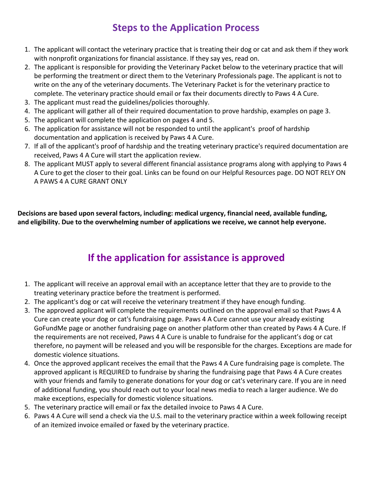## **Steps to the Application Process**

- 1. The applicant will contact the veterinary practice that is treating their dog or cat and ask them if they work with nonprofit organizations for financial assistance. If they say yes, read on.
- 2. The applicant must read the guidelines/policies thoroughly.
- 3. The applicant is responsible for getting the email address from the treating veterinary practice to provide it on the application. Or the applicant will email the Veterinary Packet on page 3 to the veterinary practice that will be performing the treatment.
- 4. The applicant will complete the application on page 3.
- 5. The applicant will gather all of their required documentation to prove hardship, examples on page 3 to send with the application for assistance.
- 6. The application for assistance will not be responded to until Paws 4 A Cure received the applicant's application and proof of hardship documentation.
- 7. If all of the applicant's proof of hardship and the treating veterinary practice's required documentation are received, Paws 4 A Cure will start the application review.
- 8. The applicant MUST apply to several different financial assistance programs along with applying to Paws 4 A Cure to get the closer to their goal. Links can be found on our Helpful Resources page. **DO NOT RELY ON A PAWS 4 A CURE GRANT ONLY**

**Decisions are based upon several factors, including: medical urgency, financial need, available funding, and eligibility. Due to the overwhelming number of applications we receive, we cannot help everyone.**

## **If the application for assistance is approved**

- 1. The applicant will receive an approval email with an acceptance letter that they are to provide to the treating veterinary practice before the treatment is performed.
- 2. The applicant's dog or cat will receive the veterinary treatment if they have enough funding.
- 3. The approved applicant will complete the requirements outlined on the approval email so that Paws 4 A Cure can create your dog or cat's fundraising page. Paws 4 A Cure cannot use your already existing GoFundMe page or another fundraising page on another platform other than created by Paws 4 A Cure. If the requirements are not received, Paws 4 A Cure is unable to fundraise for the applicant's dog or cat therefore, no payment will be released and you will be responsible for the charges. Exceptions are made for domestic violence situations.
- 4. Once the approved applicant receives the email that the Paws 4 A Cure fundraising page is complete. The approved applicant is REQUIRED to fundraise by sharing the fundraising page that Paws 4 A Cure creates with your friends and family to generate donations for your dog or cat's veterinary care. If you are in need of additional funding, you should reach out to your local news media to reach a larger audience. We do make exceptions, especially for domestic violence situations.
- 5. The veterinary practice will email or fax the detailed invoice to Paws 4 A Cure.
- 6. Paws 4 A Cure will send a check via the U.S. mail to the veterinary practice within a week following receipt of an itemized invoice emailed or faxed by the veterinary practice.
- 7. The approved applicant will provide Paws 4 A Cure updates on their dog or cat's health.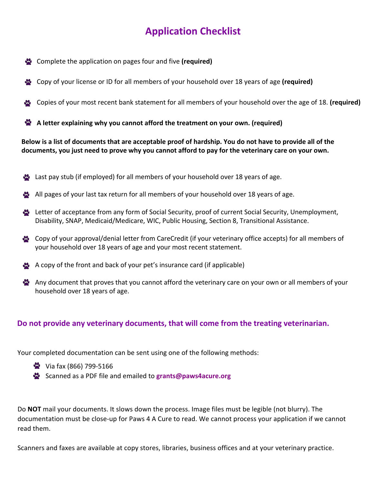## **Application Checklist**

- Complete the application on pages four and five **(required)**
- Copy of your license or ID for all members of your household over 18 years of age **(required)**
- Copies of your most recent bank statement for all members of your household over the age of 18. **(required)**
- **A letter explaining why you cannot afford the treatment on your own. (required)**

**Below is a list of documents that are acceptable proof of hardship. You do not have to provide all of the documents, you just need to prove why you cannot afford to pay for the veterinary care on your own.**

- Last pay stub (if employed) for all members of your household over 18 years of age.
- All pages of your last tax return for all members of your household over 18 years of age.
- Letter of acceptance from any form of Social Security, proof of current Social Security, Unemployment, Disability, SNAP, Medicaid/Medicare, WIC, Public Housing, Section 8, Transitional Assistance.
- Copy of your approval/denial letter from CareCredit (if your veterinary office accepts) for all members of your household over 18 years of age and your most recent statement.
- A copy of the front and back of your pet's insurance card (if applicable)
- Any document that proves that you cannot afford the veterinary care on your own or all members of your household over 18 years of age.

### **Do not provide any veterinary documents, that will come from the treating veterinarian.**

Your completed documentation can be sent using one of the following methods:

- **W** Via fax (866) 799-5166
- Scanned as a PDF file and emailed to **grants@paws4acure.org**

Do **NOT** mail your documents. It slows down the [process. Image fil](mailto:grants@paws4acure.org)es must be legible (not blurry). The documentation must be close-up for Paws 4 A Cure to read. We cannot process your application if we cannot read them.

Scanners and faxes are available at copy stores, libraries, business offices and at your veterinary practice.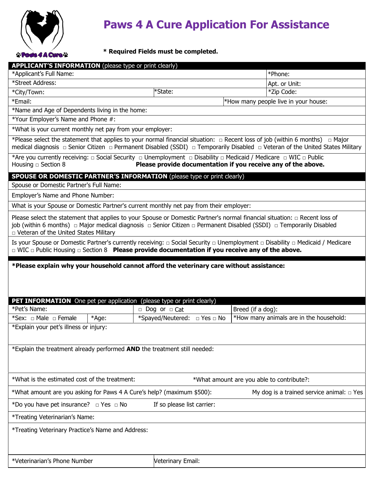

# **Paws 4 A Cure Application For Assistance**

### **\* Required Fields must be completed.**

| *Applicant's Full Name:<br>*Phone:<br>*Street Address:<br>Apt. or Unit:<br>*State:<br>*City/Town:<br>*Zip Code:<br>*Email:<br>*How many people live in your house:<br>*Name and Age of Dependents living in the home:<br>*Your Employer's Name and Phone #:<br>*What is your current monthly net pay from your employer:<br>*Please select the statement that applies to your normal financial situation: $\Box$ Recent loss of job (within 6 months) $\Box$ Major<br>medical diagnosis □ Senior Citizen □ Permanent Disabled (SSDI) □ Temporarily Disabled □ Veteran of the United States Military<br>*Are you currently receiving: $\Box$ Social Security $\Box$ Unemployment $\Box$ Disability $\Box$ Medicaid / Medicare $\Box$ WIC $\Box$ Public<br>Please provide documentation if you receive any of the above.<br>Housing $\Box$ Section 8<br><b>SPOUSE OR DOMESTIC PARTNER'S INFORMATION</b> (please type or print clearly)<br>Spouse or Domestic Partner's Full Name:<br>Employer's Name and Phone Number:<br>What is your Spouse or Domestic Partner's current monthly net pay from their employer:<br>Please select the statement that applies to your Spouse or Domestic Partner's normal financial situation: $\Box$ Recent loss of<br>p Veteran of the United States Military<br>Is your Spouse or Domestic Partner's currently receiving: $\Box$ Social Security $\Box$ Unemployment $\Box$ Disability $\Box$ Medicaid / Medicare<br>$\Box$ WIC $\Box$ Public Housing $\Box$ Section 8 <b>Please provide documentation if you receive any of the above.</b><br>*Please explain why your household cannot afford the veterinary care without assistance:<br><b>PET INFORMATION</b> One pet per application (please type or print clearly)<br>$\Box$ Dog or $\Box$ Cat<br>*Pet's Name:<br>Breed (if a dog):<br>*How many animals are in the household:<br>*Sex: $\Box$ Male $\Box$ Female<br>*Age:<br>*Spayed/Neutered: $\Box$ Yes $\Box$ No<br>*Explain your pet's illness or injury:<br>*Explain the treatment already performed AND the treatment still needed:<br>*What is the estimated cost of the treatment:<br>*What amount are you able to contribute?:<br>My dog is a trained service animal: $\Box$ Yes<br>*What amount are you asking for Paws 4 A Cure's help? (maximum \$500):<br>*Do you have pet insurance? $\Box$ Yes $\Box$ No<br>If so please list carrier:<br>*Treating Veterinarian's Name:<br>*Treating Veterinary Practice's Name and Address:<br>*Veterinarian's Phone Number<br>Veterinary Email: | <b>APPLICANT'S INFORMATION</b> (please type or print clearly) |  |  |  |
|------------------------------------------------------------------------------------------------------------------------------------------------------------------------------------------------------------------------------------------------------------------------------------------------------------------------------------------------------------------------------------------------------------------------------------------------------------------------------------------------------------------------------------------------------------------------------------------------------------------------------------------------------------------------------------------------------------------------------------------------------------------------------------------------------------------------------------------------------------------------------------------------------------------------------------------------------------------------------------------------------------------------------------------------------------------------------------------------------------------------------------------------------------------------------------------------------------------------------------------------------------------------------------------------------------------------------------------------------------------------------------------------------------------------------------------------------------------------------------------------------------------------------------------------------------------------------------------------------------------------------------------------------------------------------------------------------------------------------------------------------------------------------------------------------------------------------------------------------------------------------------------------------------------------------------------------------------------------------------------------------------------------------------------------------------------------------------------------------------------------------------------------------------------------------------------------------------------------------------------------------------------------------------------------------------------------------------------------------------------------------------------------------------------------------------------------------------------------------------------------------------------------------------------|---------------------------------------------------------------|--|--|--|
|                                                                                                                                                                                                                                                                                                                                                                                                                                                                                                                                                                                                                                                                                                                                                                                                                                                                                                                                                                                                                                                                                                                                                                                                                                                                                                                                                                                                                                                                                                                                                                                                                                                                                                                                                                                                                                                                                                                                                                                                                                                                                                                                                                                                                                                                                                                                                                                                                                                                                                                                          |                                                               |  |  |  |
|                                                                                                                                                                                                                                                                                                                                                                                                                                                                                                                                                                                                                                                                                                                                                                                                                                                                                                                                                                                                                                                                                                                                                                                                                                                                                                                                                                                                                                                                                                                                                                                                                                                                                                                                                                                                                                                                                                                                                                                                                                                                                                                                                                                                                                                                                                                                                                                                                                                                                                                                          |                                                               |  |  |  |
|                                                                                                                                                                                                                                                                                                                                                                                                                                                                                                                                                                                                                                                                                                                                                                                                                                                                                                                                                                                                                                                                                                                                                                                                                                                                                                                                                                                                                                                                                                                                                                                                                                                                                                                                                                                                                                                                                                                                                                                                                                                                                                                                                                                                                                                                                                                                                                                                                                                                                                                                          |                                                               |  |  |  |
|                                                                                                                                                                                                                                                                                                                                                                                                                                                                                                                                                                                                                                                                                                                                                                                                                                                                                                                                                                                                                                                                                                                                                                                                                                                                                                                                                                                                                                                                                                                                                                                                                                                                                                                                                                                                                                                                                                                                                                                                                                                                                                                                                                                                                                                                                                                                                                                                                                                                                                                                          |                                                               |  |  |  |
|                                                                                                                                                                                                                                                                                                                                                                                                                                                                                                                                                                                                                                                                                                                                                                                                                                                                                                                                                                                                                                                                                                                                                                                                                                                                                                                                                                                                                                                                                                                                                                                                                                                                                                                                                                                                                                                                                                                                                                                                                                                                                                                                                                                                                                                                                                                                                                                                                                                                                                                                          |                                                               |  |  |  |
|                                                                                                                                                                                                                                                                                                                                                                                                                                                                                                                                                                                                                                                                                                                                                                                                                                                                                                                                                                                                                                                                                                                                                                                                                                                                                                                                                                                                                                                                                                                                                                                                                                                                                                                                                                                                                                                                                                                                                                                                                                                                                                                                                                                                                                                                                                                                                                                                                                                                                                                                          |                                                               |  |  |  |
|                                                                                                                                                                                                                                                                                                                                                                                                                                                                                                                                                                                                                                                                                                                                                                                                                                                                                                                                                                                                                                                                                                                                                                                                                                                                                                                                                                                                                                                                                                                                                                                                                                                                                                                                                                                                                                                                                                                                                                                                                                                                                                                                                                                                                                                                                                                                                                                                                                                                                                                                          |                                                               |  |  |  |
|                                                                                                                                                                                                                                                                                                                                                                                                                                                                                                                                                                                                                                                                                                                                                                                                                                                                                                                                                                                                                                                                                                                                                                                                                                                                                                                                                                                                                                                                                                                                                                                                                                                                                                                                                                                                                                                                                                                                                                                                                                                                                                                                                                                                                                                                                                                                                                                                                                                                                                                                          |                                                               |  |  |  |
|                                                                                                                                                                                                                                                                                                                                                                                                                                                                                                                                                                                                                                                                                                                                                                                                                                                                                                                                                                                                                                                                                                                                                                                                                                                                                                                                                                                                                                                                                                                                                                                                                                                                                                                                                                                                                                                                                                                                                                                                                                                                                                                                                                                                                                                                                                                                                                                                                                                                                                                                          |                                                               |  |  |  |
|                                                                                                                                                                                                                                                                                                                                                                                                                                                                                                                                                                                                                                                                                                                                                                                                                                                                                                                                                                                                                                                                                                                                                                                                                                                                                                                                                                                                                                                                                                                                                                                                                                                                                                                                                                                                                                                                                                                                                                                                                                                                                                                                                                                                                                                                                                                                                                                                                                                                                                                                          |                                                               |  |  |  |
|                                                                                                                                                                                                                                                                                                                                                                                                                                                                                                                                                                                                                                                                                                                                                                                                                                                                                                                                                                                                                                                                                                                                                                                                                                                                                                                                                                                                                                                                                                                                                                                                                                                                                                                                                                                                                                                                                                                                                                                                                                                                                                                                                                                                                                                                                                                                                                                                                                                                                                                                          |                                                               |  |  |  |
|                                                                                                                                                                                                                                                                                                                                                                                                                                                                                                                                                                                                                                                                                                                                                                                                                                                                                                                                                                                                                                                                                                                                                                                                                                                                                                                                                                                                                                                                                                                                                                                                                                                                                                                                                                                                                                                                                                                                                                                                                                                                                                                                                                                                                                                                                                                                                                                                                                                                                                                                          |                                                               |  |  |  |
|                                                                                                                                                                                                                                                                                                                                                                                                                                                                                                                                                                                                                                                                                                                                                                                                                                                                                                                                                                                                                                                                                                                                                                                                                                                                                                                                                                                                                                                                                                                                                                                                                                                                                                                                                                                                                                                                                                                                                                                                                                                                                                                                                                                                                                                                                                                                                                                                                                                                                                                                          |                                                               |  |  |  |
|                                                                                                                                                                                                                                                                                                                                                                                                                                                                                                                                                                                                                                                                                                                                                                                                                                                                                                                                                                                                                                                                                                                                                                                                                                                                                                                                                                                                                                                                                                                                                                                                                                                                                                                                                                                                                                                                                                                                                                                                                                                                                                                                                                                                                                                                                                                                                                                                                                                                                                                                          |                                                               |  |  |  |
|                                                                                                                                                                                                                                                                                                                                                                                                                                                                                                                                                                                                                                                                                                                                                                                                                                                                                                                                                                                                                                                                                                                                                                                                                                                                                                                                                                                                                                                                                                                                                                                                                                                                                                                                                                                                                                                                                                                                                                                                                                                                                                                                                                                                                                                                                                                                                                                                                                                                                                                                          |                                                               |  |  |  |
|                                                                                                                                                                                                                                                                                                                                                                                                                                                                                                                                                                                                                                                                                                                                                                                                                                                                                                                                                                                                                                                                                                                                                                                                                                                                                                                                                                                                                                                                                                                                                                                                                                                                                                                                                                                                                                                                                                                                                                                                                                                                                                                                                                                                                                                                                                                                                                                                                                                                                                                                          |                                                               |  |  |  |
|                                                                                                                                                                                                                                                                                                                                                                                                                                                                                                                                                                                                                                                                                                                                                                                                                                                                                                                                                                                                                                                                                                                                                                                                                                                                                                                                                                                                                                                                                                                                                                                                                                                                                                                                                                                                                                                                                                                                                                                                                                                                                                                                                                                                                                                                                                                                                                                                                                                                                                                                          |                                                               |  |  |  |
|                                                                                                                                                                                                                                                                                                                                                                                                                                                                                                                                                                                                                                                                                                                                                                                                                                                                                                                                                                                                                                                                                                                                                                                                                                                                                                                                                                                                                                                                                                                                                                                                                                                                                                                                                                                                                                                                                                                                                                                                                                                                                                                                                                                                                                                                                                                                                                                                                                                                                                                                          |                                                               |  |  |  |
|                                                                                                                                                                                                                                                                                                                                                                                                                                                                                                                                                                                                                                                                                                                                                                                                                                                                                                                                                                                                                                                                                                                                                                                                                                                                                                                                                                                                                                                                                                                                                                                                                                                                                                                                                                                                                                                                                                                                                                                                                                                                                                                                                                                                                                                                                                                                                                                                                                                                                                                                          |                                                               |  |  |  |
|                                                                                                                                                                                                                                                                                                                                                                                                                                                                                                                                                                                                                                                                                                                                                                                                                                                                                                                                                                                                                                                                                                                                                                                                                                                                                                                                                                                                                                                                                                                                                                                                                                                                                                                                                                                                                                                                                                                                                                                                                                                                                                                                                                                                                                                                                                                                                                                                                                                                                                                                          |                                                               |  |  |  |
|                                                                                                                                                                                                                                                                                                                                                                                                                                                                                                                                                                                                                                                                                                                                                                                                                                                                                                                                                                                                                                                                                                                                                                                                                                                                                                                                                                                                                                                                                                                                                                                                                                                                                                                                                                                                                                                                                                                                                                                                                                                                                                                                                                                                                                                                                                                                                                                                                                                                                                                                          |                                                               |  |  |  |
|                                                                                                                                                                                                                                                                                                                                                                                                                                                                                                                                                                                                                                                                                                                                                                                                                                                                                                                                                                                                                                                                                                                                                                                                                                                                                                                                                                                                                                                                                                                                                                                                                                                                                                                                                                                                                                                                                                                                                                                                                                                                                                                                                                                                                                                                                                                                                                                                                                                                                                                                          |                                                               |  |  |  |
|                                                                                                                                                                                                                                                                                                                                                                                                                                                                                                                                                                                                                                                                                                                                                                                                                                                                                                                                                                                                                                                                                                                                                                                                                                                                                                                                                                                                                                                                                                                                                                                                                                                                                                                                                                                                                                                                                                                                                                                                                                                                                                                                                                                                                                                                                                                                                                                                                                                                                                                                          |                                                               |  |  |  |
|                                                                                                                                                                                                                                                                                                                                                                                                                                                                                                                                                                                                                                                                                                                                                                                                                                                                                                                                                                                                                                                                                                                                                                                                                                                                                                                                                                                                                                                                                                                                                                                                                                                                                                                                                                                                                                                                                                                                                                                                                                                                                                                                                                                                                                                                                                                                                                                                                                                                                                                                          |                                                               |  |  |  |
|                                                                                                                                                                                                                                                                                                                                                                                                                                                                                                                                                                                                                                                                                                                                                                                                                                                                                                                                                                                                                                                                                                                                                                                                                                                                                                                                                                                                                                                                                                                                                                                                                                                                                                                                                                                                                                                                                                                                                                                                                                                                                                                                                                                                                                                                                                                                                                                                                                                                                                                                          |                                                               |  |  |  |
|                                                                                                                                                                                                                                                                                                                                                                                                                                                                                                                                                                                                                                                                                                                                                                                                                                                                                                                                                                                                                                                                                                                                                                                                                                                                                                                                                                                                                                                                                                                                                                                                                                                                                                                                                                                                                                                                                                                                                                                                                                                                                                                                                                                                                                                                                                                                                                                                                                                                                                                                          |                                                               |  |  |  |